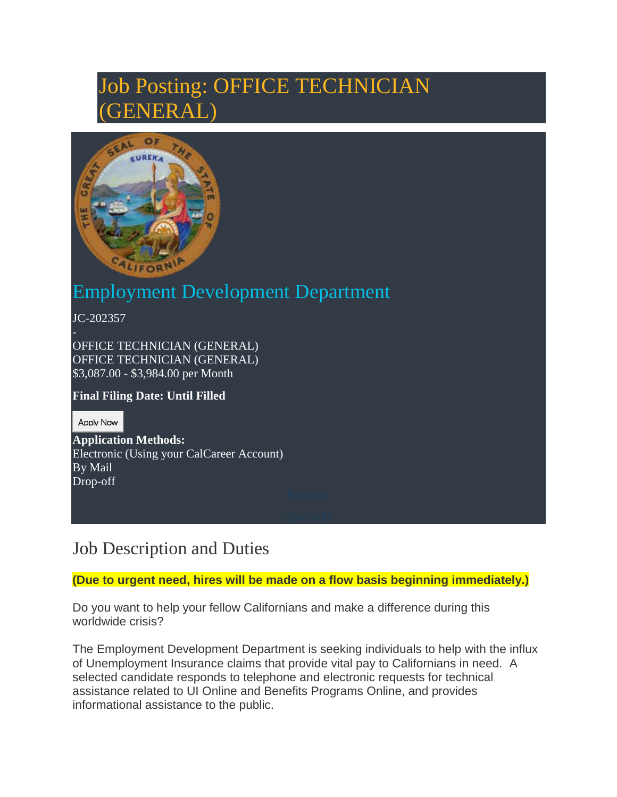# Job Posting: OFFICE TECHNICIAN  $\mathsf{ER} \, \mathsf{A}$



# Employment Development Department

JC-202357

OFFICE TECHNICIAN (GENERAL) OFFICE TECHNICIAN (GENERAL) \$3,087.00 - \$3,984.00 per Month

#### **Final Filing Date: Until Filled**

Apply Now

**Application Methods:**  Electronic (Using your CalCareer Account) By Mail Drop-off

### Job Description and Duties

#### **(Due to urgent need, hires will be made on a flow basis beginning immediately.)**

Do you want to help your fellow Californians and make a difference during this worldwide crisis?

The Employment Development Department is seeking individuals to help with the influx of Unemployment Insurance claims that provide vital pay to Californians in need. A selected candidate responds to telephone and electronic requests for technical assistance related to UI Online and Benefits Programs Online, and provides informational assistance to the public.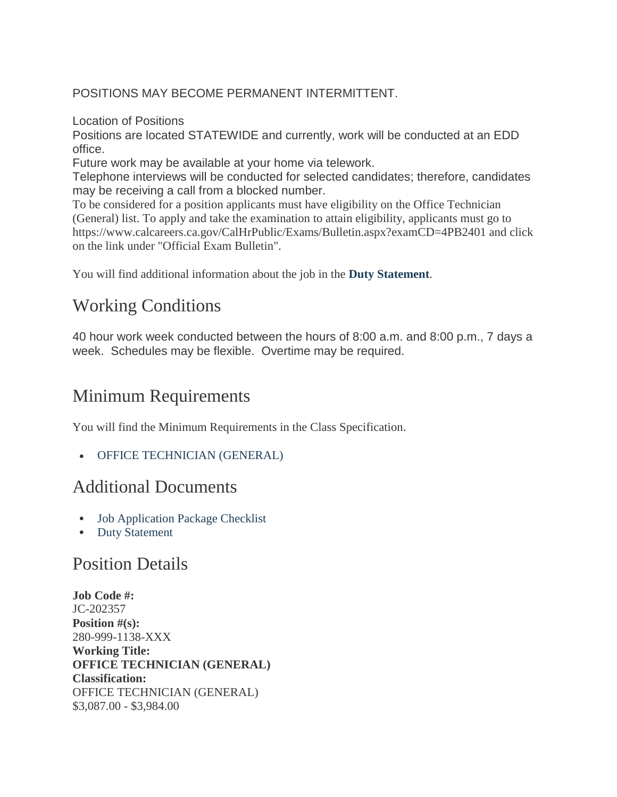POSITIONS MAY BECOME PERMANENT INTERMITTENT.

Location of Positions

Positions are located STATEWIDE and currently, work will be conducted at an EDD office.

Future work may be available at your home via telework.

Telephone interviews will be conducted for selected candidates; therefore, candidates may be receiving a call from a blocked number.

To be considered for a position applicants must have eligibility on the Office Technician (General) list. To apply and take the examination to attain eligibility, applicants must go to https://www.calcareers.ca.gov/CalHrPublic/Exams/Bulletin.aspx?examCD=4PB2401 and click on the link under "Official Exam Bulletin".

You will find additional information about the job in the **[Duty Statement](https://www.calcareers.ca.gov/CalHrPublic/FileDownload.aspx?aid=11088712&name=OTPositionStatementFinal.pdf)**.

# Working Conditions

40 hour work week conducted between the hours of 8:00 a.m. and 8:00 p.m., 7 days a week. Schedules may be flexible. Overtime may be required.

# Minimum Requirements

You will find the Minimum Requirements in the Class Specification.

[OFFICE TECHNICIAN \(GENERAL\)](https://hrnet.calhr.ca.gov/CalHRNet/SpecCrossReference.aspx?ClassID=1138)

### Additional Documents

- [Job Application Package Checklist](http://calcareers.ca.gov/CalHrPublic/Jobs/JobApplicationPackageChecklist.aspx?JobControlId=202357)
- [Duty Statement](https://www.calcareers.ca.gov/CalHrPublic/FileDownload.aspx?aid=11088712&name=OTPositionStatementFinal.pdf)

### Position Details

**Job Code #:** JC-202357 **Position #(s):** 280-999-1138-XXX **Working Title: OFFICE TECHNICIAN (GENERAL) Classification:** OFFICE TECHNICIAN (GENERAL) \$3,087.00 - \$3,984.00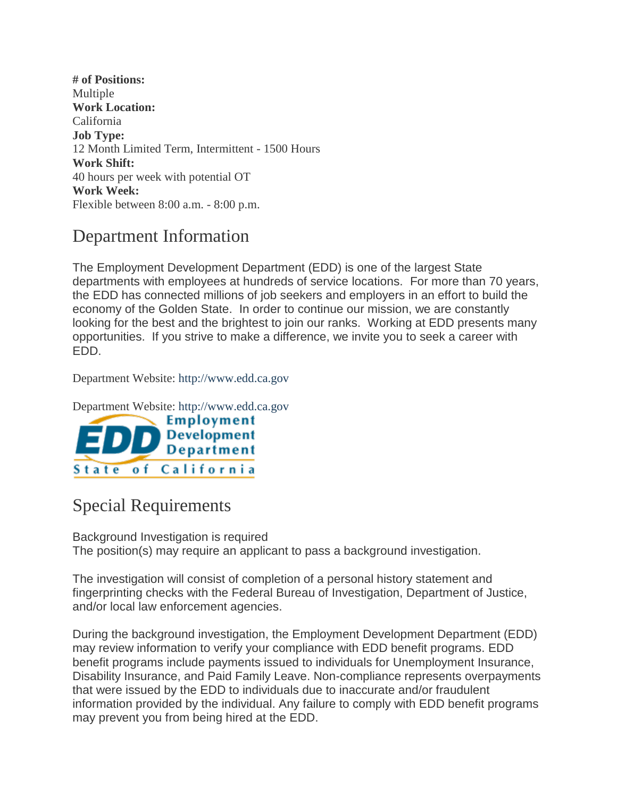**# of Positions:** Multiple **Work Location:** California **Job Type:** 12 Month Limited Term, Intermittent - 1500 Hours **Work Shift:** 40 hours per week with potential OT **Work Week:** Flexible between 8:00 a.m. - 8:00 p.m.

### Department Information

The Employment Development Department (EDD) is one of the largest State departments with employees at hundreds of service locations. For more than 70 years, the EDD has connected millions of job seekers and employers in an effort to build the economy of the Golden State. In order to continue our mission, we are constantly looking for the best and the brightest to join our ranks. Working at EDD presents many opportunities. If you strive to make a difference, we invite you to seek a career with EDD.

Department Website: [http://www.edd.ca.gov](http://www.edd.ca.gov/)

Department Website: [http://www.edd.ca.gov](http://www.edd.ca.gov/)



## Special Requirements

Background Investigation is required The position(s) may require an applicant to pass a background investigation.

The investigation will consist of completion of a personal history statement and fingerprinting checks with the Federal Bureau of Investigation, Department of Justice, and/or local law enforcement agencies.

During the background investigation, the Employment Development Department (EDD) may review information to verify your compliance with EDD benefit programs. EDD benefit programs include payments issued to individuals for Unemployment Insurance, Disability Insurance, and Paid Family Leave. Non-compliance represents overpayments that were issued by the EDD to individuals due to inaccurate and/or fraudulent information provided by the individual. Any failure to comply with EDD benefit programs may prevent you from being hired at the EDD.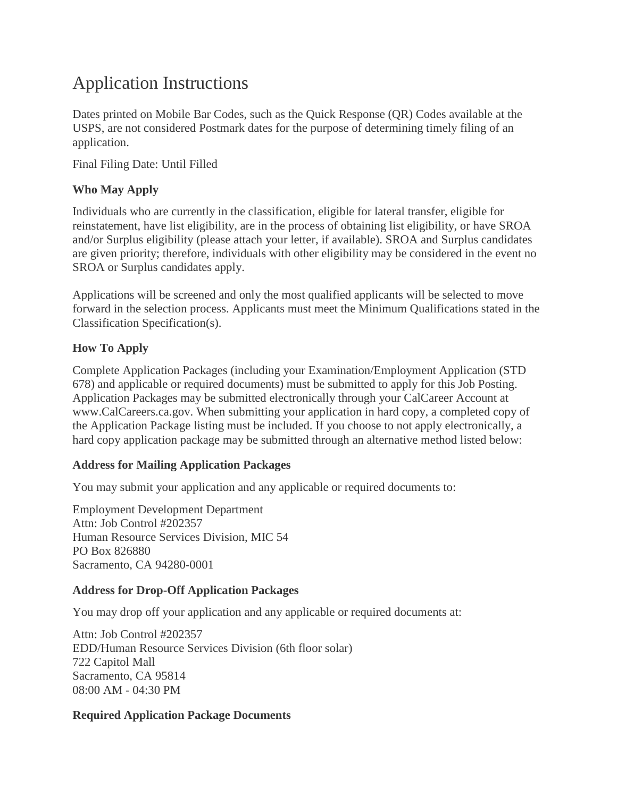# Application Instructions

Dates printed on Mobile Bar Codes, such as the Quick Response (QR) Codes available at the USPS, are not considered Postmark dates for the purpose of determining timely filing of an application.

Final Filing Date: Until Filled

#### **Who May Apply**

Individuals who are currently in the classification, eligible for lateral transfer, eligible for reinstatement, have list eligibility, are in the process of obtaining list eligibility, or have SROA and/or Surplus eligibility (please attach your letter, if available). SROA and Surplus candidates are given priority; therefore, individuals with other eligibility may be considered in the event no SROA or Surplus candidates apply.

Applications will be screened and only the most qualified applicants will be selected to move forward in the selection process. Applicants must meet the Minimum Qualifications stated in the Classification Specification(s).

#### **How To Apply**

Complete Application Packages (including your Examination/Employment Application (STD 678) and applicable or required documents) must be submitted to apply for this Job Posting. Application Packages may be submitted electronically through your CalCareer Account at www.CalCareers.ca.gov. When submitting your application in hard copy, a completed copy of the Application Package listing must be included. If you choose to not apply electronically, a hard copy application package may be submitted through an alternative method listed below:

#### **Address for Mailing Application Packages**

You may submit your application and any applicable or required documents to:

Employment Development Department Attn: Job Control #202357 Human Resource Services Division, MIC 54 PO Box 826880 Sacramento, CA 94280-0001

#### **Address for Drop-Off Application Packages**

You may drop off your application and any applicable or required documents at:

Attn: Job Control #202357 EDD/Human Resource Services Division (6th floor solar) 722 Capitol Mall Sacramento, CA 95814 08:00 AM - 04:30 PM

#### **Required Application Package Documents**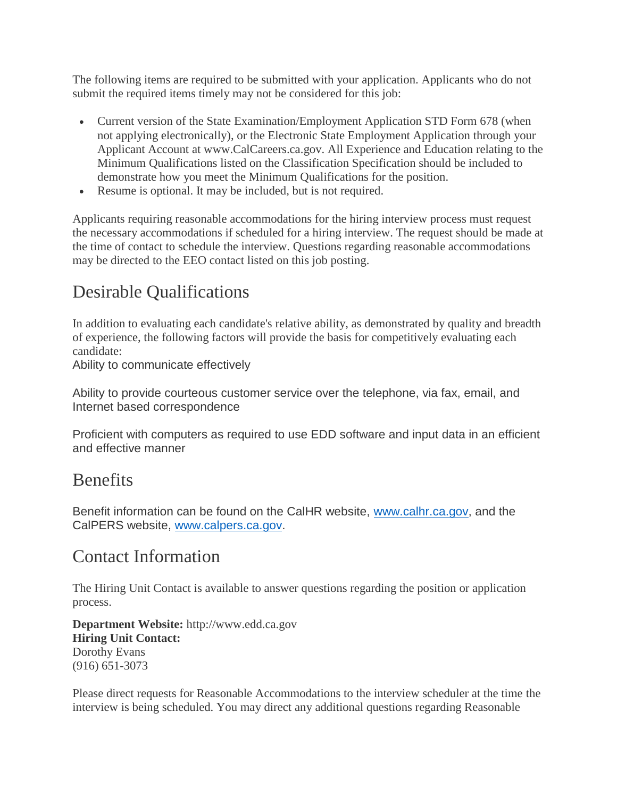The following items are required to be submitted with your application. Applicants who do not submit the required items timely may not be considered for this job:

- Current version of the State Examination/Employment Application STD Form 678 (when not applying electronically), or the Electronic State Employment Application through your Applicant Account at www.CalCareers.ca.gov. All Experience and Education relating to the Minimum Qualifications listed on the Classification Specification should be included to demonstrate how you meet the Minimum Qualifications for the position.
- Resume is optional. It may be included, but is not required.

Applicants requiring reasonable accommodations for the hiring interview process must request the necessary accommodations if scheduled for a hiring interview. The request should be made at the time of contact to schedule the interview. Questions regarding reasonable accommodations may be directed to the EEO contact listed on this job posting.

# Desirable Qualifications

In addition to evaluating each candidate's relative ability, as demonstrated by quality and breadth of experience, the following factors will provide the basis for competitively evaluating each candidate:

Ability to communicate effectively

Ability to provide courteous customer service over the telephone, via fax, email, and Internet based correspondence

Proficient with computers as required to use EDD software and input data in an efficient and effective manner

### **Benefits**

Benefit information can be found on the CalHR website, [www.calhr.ca.gov,](http://www.calhr.ca.gov/) and the CalPERS website, [www.calpers.ca.gov.](http://www.calpers.ca.gov/)

### Contact Information

The Hiring Unit Contact is available to answer questions regarding the position or application process.

**Department Website:** http://www.edd.ca.gov **Hiring Unit Contact:**  Dorothy Evans (916) 651-3073

Please direct requests for Reasonable Accommodations to the interview scheduler at the time the interview is being scheduled. You may direct any additional questions regarding Reasonable